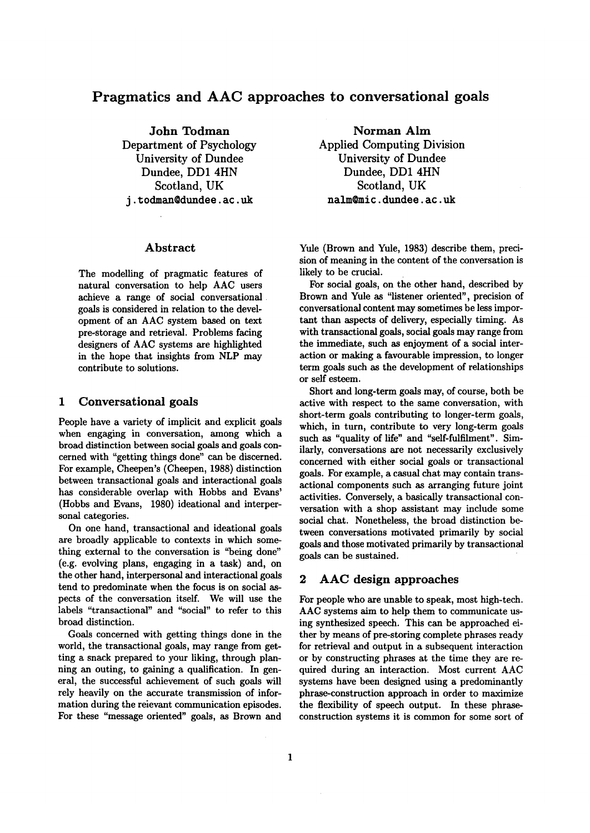# **Pragmatics and AAC approaches to conversational goals**

**John** Todman Department of Psychology University of Dundee Dundee, DD1 4HN Scotland, UK j. t odman@dundee, ac. uk

### **Abstract**

The modelling of pragmatic features of natural conversation to help AAC users achieve a range of social conversational goals is considered in relation to the development of an AAC system based on text pre-storage and retrieval. Problems facing designers of AAC systems are highlighted in the hope that insights from NLP may contribute to solutions.

### **1** Conversational goals

People have a variety of implicit and explicit goals when engaging in conversation, among which a broad distinction between social goals and goals concerned with "getting things done" can be discerned. For example, Cheepen's (Cheepen, 1988) distinction between transactional goals and interactional goals has considerable overlap with Hobbs and Evans' (Hobbs and Evans, 1980) ideational and interpersonal categories.

On one hand, transactional and ideational goals are broadly applicable to contexts in which something external to the conversation is "being done" (e.g. evolving plans, engaging in a task) and, on the other hand, interpersonal and interactional goals tend to predominate when the focus is on social aspects of the conversation itself. We will use the labels "transactional" and "social" to refer to this broad distinction.

Goals concerned with getting things done in the world, the transactional goals, may range from getting a snack prepared to your liking, through planning an outing, to gaining a qualification. In general, the successful achievement of such goals will rely heavily on the accurate transmission of information during the reievant communication episodes. For these "message oriented" goals, as Brown and

**Norman Aim Applied Computing Division University of Dundee Dundee, DD1 4HN**  Scotland, **UK**  nalm@mic, dundee, ac. uk

Yule (Brown and Yule, 1983) describe them, precision of meaning in the content of the conversation is likely to be crucial.

For social goals, on the other hand, described by Brown and Yule as "listener oriented", precision of conversational content may sometimes be less important than aspects of delivery, especially timing. As with transactional goals, social goals may range from the immediate, such as enjoyment of a social interaction or making a favourable impression, to longer term goals such as the development of relationships or self esteem.

Short and long-term goals may, of course, both be active with respect to the same conversation, with short-term goals contributing to longer-term goals, which, in turn, contribute to very long-term goals such as "quality of life" and "self-fulfilment". Similarly, conversations are not necessarily exclusively concerned with either social goals or transactional goals. For example, a casual chat may contain transactional components such as arranging future joint activities. Conversely, a basically transactional conversation with a shop assistant may include some social chat. Nonetheless, the broad distinction between conversations motivated primarily by social goals and those motivated primarily by transactional goals can be sustained.

## **2 AAC design approaches**

For people who are unable to speak, most high-tech. AAC systems aim to help them to communicate using synthesized speech. This can be approached either by means of pre-storing complete phrases ready for retrieval and output in a subsequent interaction or by constructing phrases at the time they are required during an interaction. Most current AAC systems have been designed using a predominantly phrase-construction approach in order to maximize the flexibility of speech output. In these phraseconstruction systems it is common for some sort of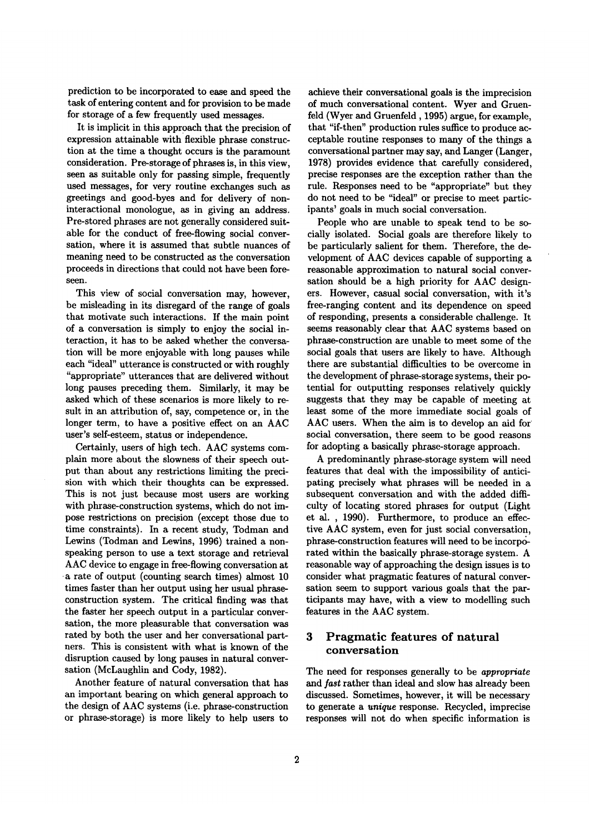prediction to be incorporated to ease and speed the task of entering content and for provision to be made for storage of a few frequently used messages.

It is implicit in this approach that the precision of expression attainable with flexible phrase construction at the time a thought occurs is the paramount consideration. Pre-storage of phrases is, in this view, seen as suitable only for passing simple, frequently used messages, for very routine exchanges such as greetings and good-byes and for delivery of noninteractional monologue, as in giving an address. Pre-stored phrases are not generally considered suitable for the conduct of free-flowing social conversation, where it is assumed that subtle nuances of meaning need to be constructed as the conversation proceeds in directions that could not have been foreseen.

This view of social conversation may, however, be misleading in its disregard of the range of goals that motivate such interactions. If the main point of a conversation is simply to enjoy the social interaction, it has to be asked whether the conversation will be more enjoyable with long pauses while each "ideal" utterance is constructed or with roughly "appropriate" utterances that are delivered without long pauses preceding them. Similarly, it may be asked which of these scenarios is more likely to result in an attribution of, say, competence or, in the longer term, to have a positive effect on an AAC user's self-esteem, status or independence.

Certainly, users of high tech. AAC systems complain more about the slowness of their speech output than about any restrictions limiting the precision with which their thoughts can be expressed. This is not just because most users are working with phrase-construction systems, which do not impose restrictions on precision (except those due to time constraints). In a recent study, Todman and Lewins (Todman and Lewins, 1996) trained a nonspeaking person to use a text storage and retrieval AAC device to engage in free-flowing conversation at • a rate of output (counting search times) almost 10 times faster than her output using her usual phraseconstruction system. The critical finding was that the faster her speech output in a particular conversation, the more pleasurable that conversation was rated by both the user and her conversational partners. This is consistent with what is known of the disruption caused by long pauses in natural conversation (McLaughlin and Cody, 1982).

Another feature of natural conversation that has an important bearing on which general approach to the design of AAC systems (i.e. phrase-construction or phrase-storage) is more likely to help users to

achieve their conversational goals is the imprecision of much conversational content. Wyer and Gruenfeld (Wyer and Gruenfeld, 1995) argue, for example, that "if-then" production rules suffice to produce acceptable routine responses to many of the things a conversational partner may say, and Langer (Langer, 1978) provides evidence that carefully considered, precise responses are the exception rather than the rule. Responses need to be "appropriate" but they do not need to be "ideal" or precise to meet participants' goals in much social conversation.

People who are unable to speak tend to be socially isolated. Social goals are therefore likely to be particularly salient for them. Therefore, the development of AAC devices capable of supporting a reasonable approximation to natural social conversation should be a high priority for AAC designers. However, casual social conversation, with it's free-ranging content and its dependence on speed of responding, presents a considerable challenge. It seems reasonably clear that AAC systems based on phrase-construction are unable to meet some of the social goals that users are likely to have. Although there are substantial difficulties to be overcome in the development of phrase-storage systems, their potential for outputting responses relatively quickly suggests that they may be capable of meeting at least some of the more immediate social goals of AAC users. When the aim is to develop an aid for social conversation, there seem to be good reasons for adopting a basically phrase-storage approach.

A predominantly phrase-storage system will need features that deal with the impossibility of anticipating precisely what phrases will be needed in a subsequent conversation and with the added difficulty of locating stored phrases for output (Light et al. , 1990). Furthermore, to produce an effective AAC system, even for just social conversation, phrase-construction features will need to be incorporated within the basically phrase-storage system. A reasonable way of approaching the design issues is to consider what pragmatic features of natural conversation seem to support various goals that the participants may have, with a view to modelling such features in the AAC system.

# 3 Pragmatic features of natural conversation

The need for responses generally to be *appropriate and fast* rather than ideal and slow has already been discussed. Sometimes, however, it will be necessary to generate a *unique* response. Recycled, imprecise responses will not do when specific information is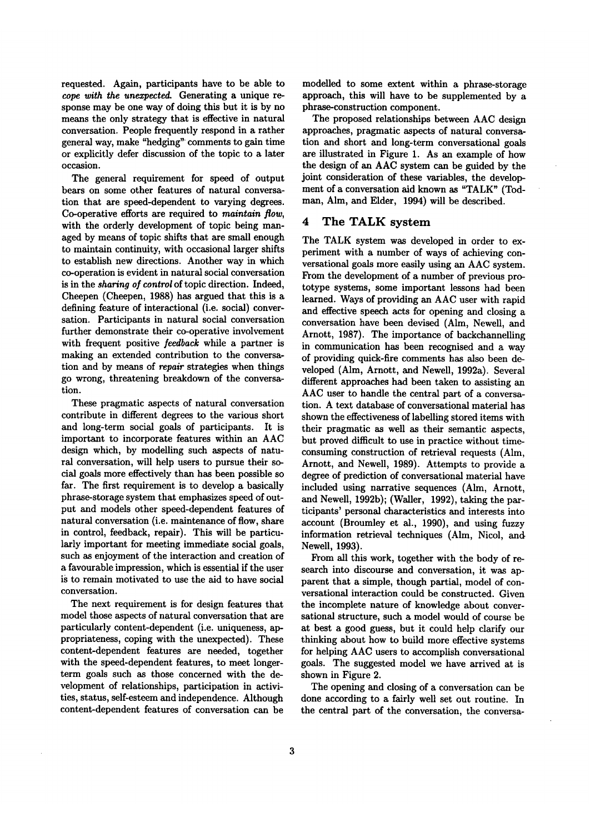requested. Again, participants have to be able to *cope with the unexpected.* Generating a unique response may be one way of doing this but it is by no means the only strategy that is effective in natural conversation. People frequently respond in a rather general way, make "hedging" comments to gain time or explicitly defer discussion of the topic to a later occasion.

The general requirement for speed of output bears on some other features of natural conversation that are speed-dependent to varying degrees. Co-operative efforts are required to *maintain flow,*  with the orderly development of topic being managed by means of topic shifts that are small enough to maintain continuity, with occasional larger shifts to establish new directions. Another way in which co-operation is evident in natural social conversation is in the *sharing of control* of topic direction. Indeed, Cheepen (Cheepen, 1988) has argued that this is a defining feature of interactional (i.e. social) conversation. Participants in natural social conversation further demonstrate their co-operative involvement with frequent positive *feedback* while a partner is making an extended contribution to the conversation and by means of *repair* strategies when things go wrong, threatening breakdown of the conversation.

These pragmatic aspects of natural conversation contribute in different degrees to the various short and long-term social goals of participants. It is important to incorporate features within an AAC design which, by modelling such aspects of natural conversation, will help users to pursue their social goals more effectively than has been possible so far. The first requirement is to develop a basically phrase-storage system that emphasizes speed of output and models other speed-dependent features of natural conversation (i.e. maintenance of flow, share in control, feedback, repair). This will be particularly important for meeting immediate social goals, such as enjoyment of the interaction and creation of a favourable impression, which is essential if the user is to remain motivated to use the aid to have social conversation.

The next requirement is for design features that model those aspects of natural conversation that are particularly content-dependent (i.e. uniqueness, appropriateness, coping with the unexpected). These content-dependent features are needed, together with the speed-dependent features, to meet longerterm goals such as those concerned with the development of relationships, participation in activities, status, self-esteem and independence. Although content-dependent features of conversation can be

modelled to some extent within a phrase-storage approach, this will have to be supplemented by a phrase-construction component.

The proposed relationships between AAC design approaches, pragmatic aspects of natural conversation and short and long-term conversational goals are illustrated in Figure 1. As an example of how the design of an AAC system can be guided by the joint consideration of these variables, the development of a conversation aid known as "TALK" (Todman, Alm, and Elder, 1994) will be described.

#### 4 The TALK system

The TALK system was developed in order to experiment with a number of ways of achieving conversational goals more easily using an AAC system. From the development of a number of previous prototype systems, some important lessons had been learned. Ways of providing an AAC user with rapid and effective speech acts for opening and closing a conversation have been devised (Alm, Newell, and Arnott, 1987). The importance of backchannelling in communication has been recognised and a way of providing quick-fire comments has also been developed (Alm, Arnott, and Newell, 1992a). Several different approaches had been taken to assisting an AAC user to handle the central part of a conversation. A text database of conversational material has shown the effectiveness of labelling stored items with their pragmatic as well as their semantic aspects, but proved difficult to use in practice without timeconsuming construction of retrieval requests (Alm, Arnott, and Newell, 1989). Attempts to provide a degree of prediction of conversational material have included using narrative sequences (Alm, Arnott, and Newell, 1992b); (Waller, 1992), taking the participants' personal characteristics and interests into account (Broumley et al., 1990), and using fuzzy information retrieval techniques (Alm, Nicol, and Newell, 1993).

From all this work, together with the body of research into discourse and conversation, it was apparent that a simple, though partial, model of conversational interaction could be constructed. Given the incomplete nature of knowledge about conversational structure, such a model would of course be at best a good guess, but it could help clarify our thinking about how to build more effective systems for helping AAC users to accomplish conversational goals. The suggested model we have arrived at is shown in Figure 2.

The opening and closing of a conversation can be done according to a fairly well set out routine. In the central part of the conversation, the conversa-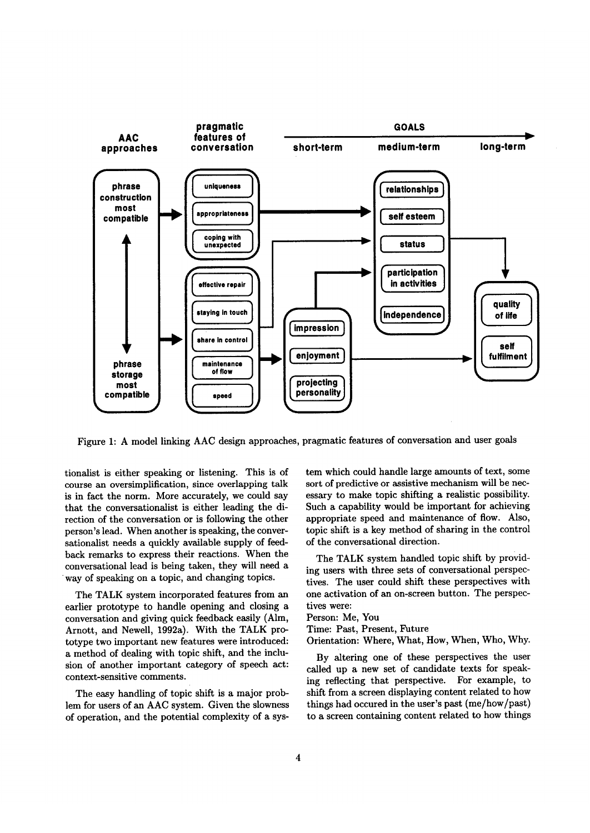

Figure 1: A model linking AAC design approaches, pragmatic features of conversation and user goals

tionalist is either speaking or listening. This is of course an oversimplification, since overlapping talk is in fact the norm. More accurately, we could say that the conversationalist is either leading the direction of the conversation or is following the other person's lead. When another is speaking, the conversationalist needs a quickly available supply of feedback remarks to express their reactions. When the conversational lead is being taken, they will need a way of speaking on a topic, and changing topics.

The TALK system incorporated features from an earlier prototype to handle opening and closing a conversation and giving quick feedback easily (Alm, Arnott, and Newell, 1992a). With the TALK prototype two important new features were introduced: a method of dealing with topic shift, and the inclusion of another important category of speech act: context-sensitive comments.

The easy handling of topic shift is a major problem for users of an AAC system. Given the slowness of operation, and the potential complexity of a system which could handle large amounts of text, some sort of predictive or assistive mechanism will be necessary to make topic shifting a realistic possibility. Such a capability would be important for achieving appropriate speed and maintenance of flow. Also, topic shift is a key method of sharing in the control of the conversational direction.

The TALK system handled topic shift by providing users with three sets of conversational perspectives. The user could shift these perspectives with one activation of an on-screen button. The perspectives were:

Person: Me, You

Time: Past, Present, Future

Orientation: Where, What, How, When, Who, Why.

By altering one of these perspectives the user called up a new set of candidate texts for speaking reflecting that perspective. For example, to shift from a screen displaying content related to how things had occured in the user's past (me/how/past) to a screen containing content related to how things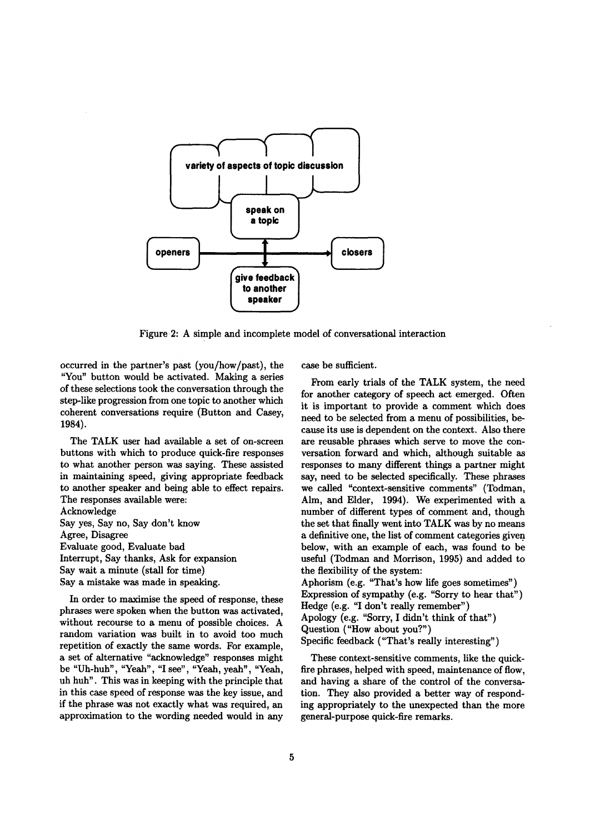

Figure 2: A simple and incomplete model of conversational interaction

occurred in the partner's past (you/how/past), the "You" button would be activated. Making a series of these selections took the conversation through the step-like progression from one topic to another which coherent conversations require (Button and Casey, 1984).

The TALK user had available a set of on-screen buttons with which to produce quick-fire responses to what another person was saying. These assisted in maintaining speed, giving appropriate feedback to another speaker and being able to effect repairs. The responses available were: Acknowledge

Say yes, Say no, Say don't know Agree, Disagree Evaluate good, Evaluate bad Interrupt, Say thanks, Ask for expansion Say wait a minute (stall for time) Say a mistake was made in speaking.

In order to maximise the speed of response, these phrases were spoken when the button was activated, without recourse to a menu of possible choices. A random variation was built in to avoid too much repetition of exactly the same words. For example, a set of alternative "acknowledge" responses might be "Uh-huh", "Yeah", "I see", "Yeah, yeah", "Yeah, uh huh". This was in keeping with the principle that in this case speed of response was the key issue, and if the phrase was not exactly what was required, an approximation to the wording needed would in any case be sufficient.

From early trials of the TALK system, the need for another category of speech act emerged. Often it is important to provide a comment which does need to be selected from a menu of possibilities, because its use is dependent on the context. Also there are reusable phrases which serve to move the conversation forward and which, although suitable as responses to many different things a partner might say, need to be selected specifically. These phrases we called "context-sensitive comments" (Todman, Aim, and Elder, 1994). We experimented with a number of different types of comment and, though the set that finally went into TALK was by no means a definitive one, the list of comment categories given. below, with an example of each, was found to be useful (Todman and Morrison, 1995) and added to the flexibility of the system: Aphorism (e.g. "That's how life goes sometimes") Expression of sympathy (e.g. "Sorry to hear that") Hedge (e.g. "I don't really remember") Apology (e.g. "Sorry, I didn't think of that") Question ("How about you?")

Specific feedback ("That's really interesting")

These context-sensitive comments, like the quickfire phrases, helped with speed, maintenance of flow, and having a share of the control of the conversation. They also provided a better way of responding appropriately to the unexpected than the more general-purpose quick-fire remarks.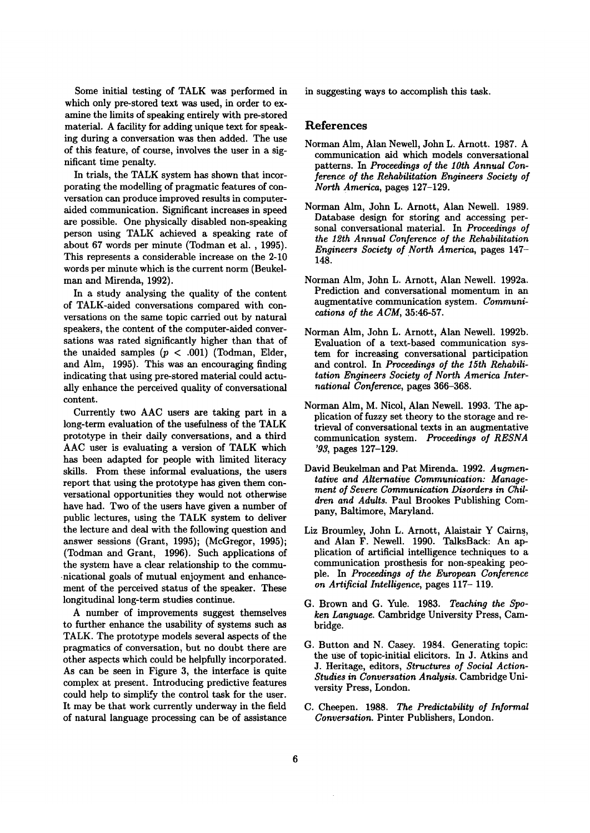Some initial testing of TALK was performed in which only pre-stored text was used, in order to examine the limits of speaking entirely with pre-stored material. A facility for adding unique text for speaking during a conversation was then added. The use of this feature, of course, involves the user in a significant time penalty.

In trials, the TALK system has shown that incorporating the modelling of pragmatic features of conversation can produce improved results in computeraided communication. Significant increases in speed are possible. One physically disabled non-speaking person using TALK achieved a speaking rate of about 67 words per minute (Todman et al. , 1995). This represents a considerable increase on the 2-10 words per minute which is the current norm (Beukelman and Mirenda, 1992).

In a study analysing the quality of the content of TALK-aided conversations compared with conversations on the same topic carried out by natural speakers, the content of the computer-aided conversations was rated significantly higher than that of the unaided samples  $(p < .001)$  (Todman, Elder, and Alm, 1995). This was an encouraging finding indicating that using pre-stored material could actually enhance the perceived quality of conversational content.

Currently two AAC users are taking part in a long-term evaluation of the usefulness of the TALK prototype in their daily conversations, and a third AAC user is evaluating a version of TALK which has been adapted for people with limited literacy skills. From these informal evaluations, the users report that using the prototype has given them conversational opportunities they would not otherwise have had. Two of the users have given a number of public lectures, using the TALK system to deliver the lecture and deal with the following question and answer sessions (Grant, 1995); (McGregor, 1995); (Todman and Grant, 1996). Such applications of the system have a clear relationship to the communicational goals of mutual enjoyment and enhancement of the perceived status of the speaker. These longitudinal long-term studies continue.

A number of improvements suggest themselves to further enhance the usability of systems such as TALK. The prototype models several aspects of the pragmatics of conversation, but no doubt there are other aspects which could be helpfully incorporated. As can be seen in Figure 3, the interface is quite complex at present. Introducing predictive features could help to simplify the control task for the user. It may be that work currently underway in the field of natural language processing can be of assistance in suggesting ways to accomplish this task.

#### **References**

- Norman Aim, Alan Newell, John L. Arnott. 1987. A communication aid which models conversational patterns. In *Proceedings of the lOth Annual Conference of the Rehabilitation Engineers Society of North America,* pages 127-129.
- Norman Aim, John L. Arnott, Alan Newell. 1989. Database design for storing and accessing personal conversational material. In *Proceedings of the 12th Annual Conference of the Rehabilitation Engineers Society of North America,* pages 147- 148.
- Norman Alm, John L. Arnott, Alan Newell. 1992a. Prediction and conversational momentum in an augmentative communication system. *Communications of the ACM,* 35:46-57.
- Norman Aim, John L. Arnott, Alan Newell. 1992b. Evaluation of a text-based communication system for increasing conversational participation and control. In *Proceedings of the 15th Rehabilitation Engineers Society of North America International Conference,* pages 366-368.
- Norman Aim, M. Nicol, Alan Newell. 1993. The application of fuzzy set theory to the storage and retrieval of conversational texts in an augmentative communication system. *Proceedings of RESNA '93,* pages 127-129.
- David Beukelman and Pat Mirenda. 1992. *Augmentative and Alternative Communication: Management of Severe Communication Disorders in Children and Adults.* Paul Brookes Publishing Company, Baltimore, Maryland.
- Liz Broumley, John L. Arnott, Alaistair Y Cairns., and Alan F. Newell. 1990. TalksBack: An application of artificial intelligence techniques to a communication prosthesis for non-speaking people. In *Proceedings of the European Conference on Artificial Intelligence,* pages 117- 119.
- G. Brown and G. Yule. 1983. *Teaching the Spoken Language.* Cambridge University Press, Cambridge.
- G. Button and N. Casey. 1984. Generating topic: the use of topic-initial elicitors. In J. Atkins and J. Heritage, editors, *Structures of Social Action-Studies in Conversation Analysis.* Cambridge University Press, London.
- C. Cheepen. 1988. *The Predictability of Informal Conversation.* Pinter Publishers, London.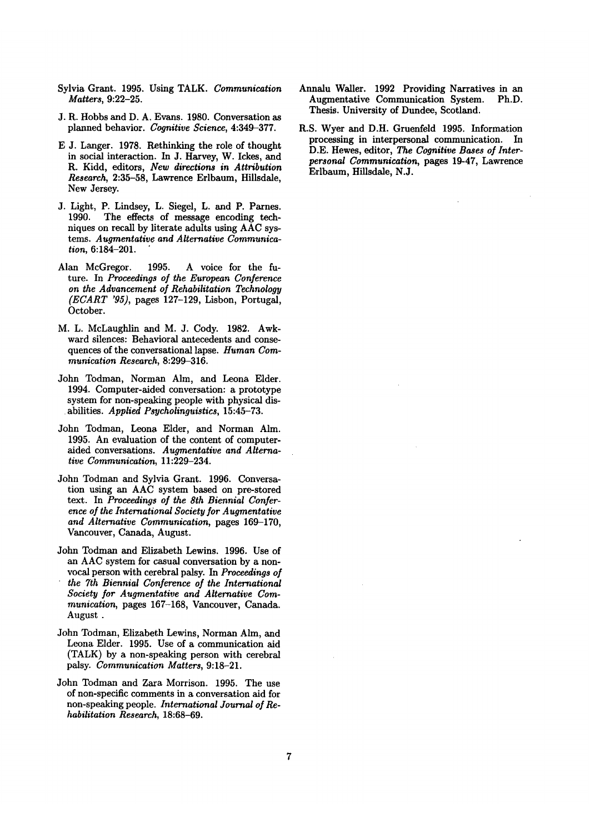- Sylvia Grant. 1995. Using TALK. *Communication Matters,* 9:22-25.
- J. R. Hobbs and D. A. Evans. 1980. Conversation as planned behavior. *Cognitive Science,* 4:349-377.
- E J. Langer. 1978. Rethinking the role of thought in social interaction. In J. Harvey, W. Ickes, and R. Kidd, editors, *New directions in Attribution Research,* 2:35-58, Lawrence Erlbaum, Hillsdale, New Jersey.
- J. Light, P. Lindsey, L. Siegel, L. and P. Parnes. 1990. The effects of message encoding techniques on recall by literate adults using AAC systems. *Augmentative and Alternative Communication,* 6:184-201.
- Alan McGregor. 1995. A voice for the future. In *Proceedings of the European Conference on the Advancement of Rehabilitation Technology (ECART '95),* pages 127-129, Lisbon, Portugal, October.
- M. L. McLaughlin and M. J. Cody. 1982. Awkward silences: Behavioral antecedents and consequences of the conversational lapse. *Human Communication Research,* 8:299-316.
- John Todman, Norman Alm, and Leona Elder. 1994. Computer-aided conversation: a prototype system for non-speaking people with physical disabilities. *Applied Psycholinguistics,* 15:45-73.
- John Todman, Leona Elder, and Norman Aim. 1995. An evaluation of the content of computeraided conversations. *Augmentative and Alternative Communication,* 11:229-234.
- John Todman and Sylvia Grant. 1996. Conversation using an AAC system based on pre-stored text. In *Proceedings of the 8th Biennial Conference of the International Society for Augmentative and Alternative Communication,* pages 169-170, Vancouver, Canada, August.
- John Todman and Elizabeth Lewins. 1996. Use of an AAC system for casual conversation by a nonvocal person with cerebral palsy. In *Proceedings of the 7th Biennial Conference of the International Society for Augmentative and Alternative Communication,* pages 167-168, Vancouver, Canada. August.
- John Todman, Elizabeth Lewins, Norman Aim, and Leona Elder. 1995. Use of a communication aid (TALK) by a non-speaking person with cerebral palsy. *Communication Matters,* 9:18-21.
- John Todman and Zara Morrison. 1995. The use of non-specific comments in a conversation aid for non-speaking people. *International Journal of Rehabilitation Research,* 18:68-69.
- Annalu Waller. 1992 Providing Narratives in an Augmentative Communication System. Ph.D. Thesis. University of Dundee, Scotland.
- R.S. Wyer and D.H. Gruenfeld 1995. Information processing in interpersonal communication. In D.E. Hewes, editor, The *Cognitive Bases of Interpersonal Communication,* pages 19-47, Lawrence Erlbaum, Hillsdale, N.J.